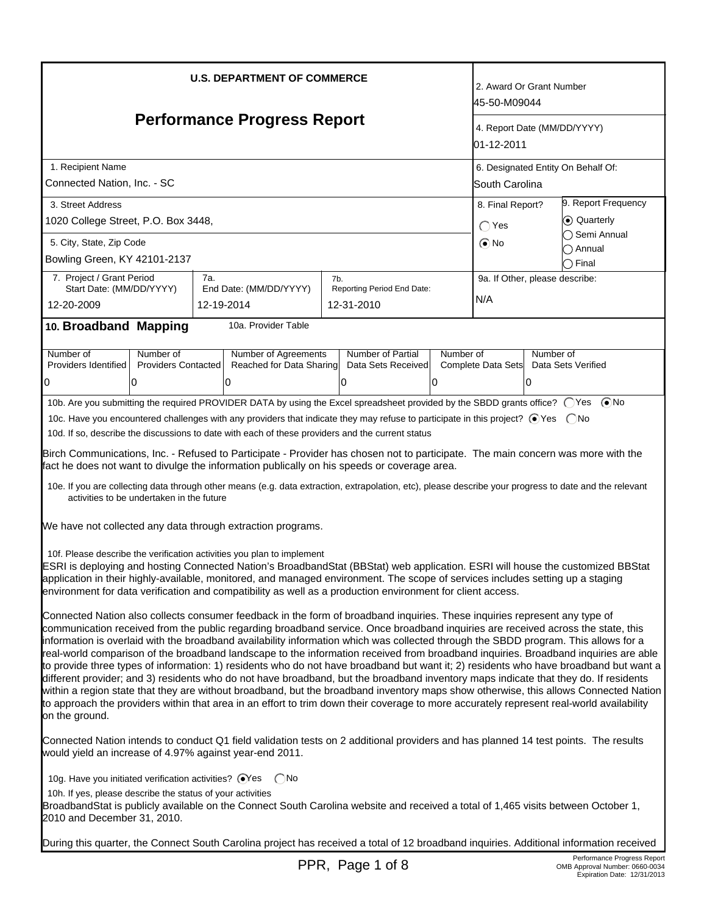| <b>U.S. DEPARTMENT OF COMMERCE</b>                                                                                                                                                                                                                                                                                                                                                                                                                                                                                                                                                                                                                                                                                                                                                                                                                                                                                                                                                                                                                                                                                                  |                                                                                                                                                                                                |            |                             |     |                                          |           | 2. Award Or Grant Number<br>45-50-M09044  |                                    |                           |  |
|-------------------------------------------------------------------------------------------------------------------------------------------------------------------------------------------------------------------------------------------------------------------------------------------------------------------------------------------------------------------------------------------------------------------------------------------------------------------------------------------------------------------------------------------------------------------------------------------------------------------------------------------------------------------------------------------------------------------------------------------------------------------------------------------------------------------------------------------------------------------------------------------------------------------------------------------------------------------------------------------------------------------------------------------------------------------------------------------------------------------------------------|------------------------------------------------------------------------------------------------------------------------------------------------------------------------------------------------|------------|-----------------------------|-----|------------------------------------------|-----------|-------------------------------------------|------------------------------------|---------------------------|--|
| <b>Performance Progress Report</b>                                                                                                                                                                                                                                                                                                                                                                                                                                                                                                                                                                                                                                                                                                                                                                                                                                                                                                                                                                                                                                                                                                  |                                                                                                                                                                                                |            |                             |     |                                          |           | 4. Report Date (MM/DD/YYYY)<br>01-12-2011 |                                    |                           |  |
| 1. Recipient Name                                                                                                                                                                                                                                                                                                                                                                                                                                                                                                                                                                                                                                                                                                                                                                                                                                                                                                                                                                                                                                                                                                                   |                                                                                                                                                                                                |            |                             |     |                                          |           |                                           | 6. Designated Entity On Behalf Of: |                           |  |
| Connected Nation, Inc. - SC                                                                                                                                                                                                                                                                                                                                                                                                                                                                                                                                                                                                                                                                                                                                                                                                                                                                                                                                                                                                                                                                                                         |                                                                                                                                                                                                |            |                             |     |                                          |           |                                           | South Carolina                     |                           |  |
| 3. Street Address                                                                                                                                                                                                                                                                                                                                                                                                                                                                                                                                                                                                                                                                                                                                                                                                                                                                                                                                                                                                                                                                                                                   |                                                                                                                                                                                                |            |                             |     |                                          |           | 8. Final Report?                          |                                    | 9. Report Frequency       |  |
| 1020 College Street, P.O. Box 3448,                                                                                                                                                                                                                                                                                                                                                                                                                                                                                                                                                                                                                                                                                                                                                                                                                                                                                                                                                                                                                                                                                                 |                                                                                                                                                                                                |            |                             |     |                                          |           | $\bigcap$ Yes                             | ⊙ Quarterly                        |                           |  |
| 5. City, State, Zip Code                                                                                                                                                                                                                                                                                                                                                                                                                                                                                                                                                                                                                                                                                                                                                                                                                                                                                                                                                                                                                                                                                                            |                                                                                                                                                                                                |            |                             |     |                                          |           | $\odot$ No                                |                                    | ◯ Semi Annual<br>៝ Annual |  |
| Bowling Green, KY 42101-2137                                                                                                                                                                                                                                                                                                                                                                                                                                                                                                                                                                                                                                                                                                                                                                                                                                                                                                                                                                                                                                                                                                        |                                                                                                                                                                                                |            |                             |     |                                          |           |                                           |                                    | $\bigcirc$ Final          |  |
| 7. Project / Grant Period                                                                                                                                                                                                                                                                                                                                                                                                                                                                                                                                                                                                                                                                                                                                                                                                                                                                                                                                                                                                                                                                                                           |                                                                                                                                                                                                | 7a.        |                             | 7b. |                                          |           | 9a. If Other, please describe:            |                                    |                           |  |
| Start Date: (MM/DD/YYYY)<br>12-20-2009                                                                                                                                                                                                                                                                                                                                                                                                                                                                                                                                                                                                                                                                                                                                                                                                                                                                                                                                                                                                                                                                                              |                                                                                                                                                                                                | 12-19-2014 | End Date: (MM/DD/YYYY)      |     | Reporting Period End Date:<br>12-31-2010 |           | N/A                                       |                                    |                           |  |
|                                                                                                                                                                                                                                                                                                                                                                                                                                                                                                                                                                                                                                                                                                                                                                                                                                                                                                                                                                                                                                                                                                                                     |                                                                                                                                                                                                |            |                             |     |                                          |           |                                           |                                    |                           |  |
| 10. Broadband Mapping                                                                                                                                                                                                                                                                                                                                                                                                                                                                                                                                                                                                                                                                                                                                                                                                                                                                                                                                                                                                                                                                                                               |                                                                                                                                                                                                |            | 10a. Provider Table         |     |                                          |           |                                           |                                    |                           |  |
| Number of                                                                                                                                                                                                                                                                                                                                                                                                                                                                                                                                                                                                                                                                                                                                                                                                                                                                                                                                                                                                                                                                                                                           | Number of                                                                                                                                                                                      |            | <b>Number of Agreements</b> |     | Number of Partial                        | Number of |                                           | Number of                          |                           |  |
| Providers Identified                                                                                                                                                                                                                                                                                                                                                                                                                                                                                                                                                                                                                                                                                                                                                                                                                                                                                                                                                                                                                                                                                                                | <b>Providers Contacted</b>                                                                                                                                                                     |            | Reached for Data Sharing    |     | Data Sets Received                       |           | Complete Data Sets                        |                                    | Data Sets Verified        |  |
| 0                                                                                                                                                                                                                                                                                                                                                                                                                                                                                                                                                                                                                                                                                                                                                                                                                                                                                                                                                                                                                                                                                                                                   | 0                                                                                                                                                                                              |            | 0                           |     |                                          | 0         |                                           | 0                                  |                           |  |
| 10b. Are you submitting the required PROVIDER DATA by using the Excel spreadsheet provided by the SBDD grants office? ○ Yes ● No<br>10c. Have you encountered challenges with any providers that indicate they may refuse to participate in this project? ⊙ Yes  ONo<br>10d. If so, describe the discussions to date with each of these providers and the current status<br>Birch Communications, Inc. - Refused to Participate - Provider has chosen not to participate. The main concern was more with the<br>fact he does not want to divulge the information publically on his speeds or coverage area.                                                                                                                                                                                                                                                                                                                                                                                                                                                                                                                         |                                                                                                                                                                                                |            |                             |     |                                          |           |                                           |                                    |                           |  |
| 10e. If you are collecting data through other means (e.g. data extraction, extrapolation, etc), please describe your progress to date and the relevant<br>activities to be undertaken in the future<br>We have not collected any data through extraction programs.                                                                                                                                                                                                                                                                                                                                                                                                                                                                                                                                                                                                                                                                                                                                                                                                                                                                  |                                                                                                                                                                                                |            |                             |     |                                          |           |                                           |                                    |                           |  |
| 10f. Please describe the verification activities you plan to implement<br>ESRI is deploying and hosting Connected Nation's BroadbandStat (BBStat) web application. ESRI will house the customized BBStat<br>application in their highly-available, monitored, and managed environment. The scope of services includes setting up a staging<br>environment for data verification and compatibility as well as a production environment for client access.                                                                                                                                                                                                                                                                                                                                                                                                                                                                                                                                                                                                                                                                            |                                                                                                                                                                                                |            |                             |     |                                          |           |                                           |                                    |                           |  |
| Connected Nation also collects consumer feedback in the form of broadband inquiries. These inquiries represent any type of<br>communication received from the public regarding broadband service. Once broadband inquiries are received across the state, this<br>information is overlaid with the broadband availability information which was collected through the SBDD program. This allows for a<br>real-world comparison of the broadband landscape to the information received from broadband inquiries. Broadband inquiries are able<br>to provide three types of information: 1) residents who do not have broadband but want it; 2) residents who have broadband but want a<br>different provider; and 3) residents who do not have broadband, but the broadband inventory maps indicate that they do. If residents<br>within a region state that they are without broadband, but the broadband inventory maps show otherwise, this allows Connected Nation<br>to approach the providers within that area in an effort to trim down their coverage to more accurately represent real-world availability<br>on the ground. |                                                                                                                                                                                                |            |                             |     |                                          |           |                                           |                                    |                           |  |
|                                                                                                                                                                                                                                                                                                                                                                                                                                                                                                                                                                                                                                                                                                                                                                                                                                                                                                                                                                                                                                                                                                                                     | Connected Nation intends to conduct Q1 field validation tests on 2 additional providers and has planned 14 test points. The results<br>would yield an increase of 4.97% against year-end 2011. |            |                             |     |                                          |           |                                           |                                    |                           |  |
| 10g. Have you initiated verification activities? OYes CNo<br>10h. If yes, please describe the status of your activities<br>BroadbandStat is publicly available on the Connect South Carolina website and received a total of 1,465 visits between October 1,<br>2010 and December 31, 2010.                                                                                                                                                                                                                                                                                                                                                                                                                                                                                                                                                                                                                                                                                                                                                                                                                                         |                                                                                                                                                                                                |            |                             |     |                                          |           |                                           |                                    |                           |  |
| During this quarter, the Connect South Carolina project has received a total of 12 broadband inquiries. Additional information received                                                                                                                                                                                                                                                                                                                                                                                                                                                                                                                                                                                                                                                                                                                                                                                                                                                                                                                                                                                             |                                                                                                                                                                                                |            |                             |     |                                          |           |                                           |                                    |                           |  |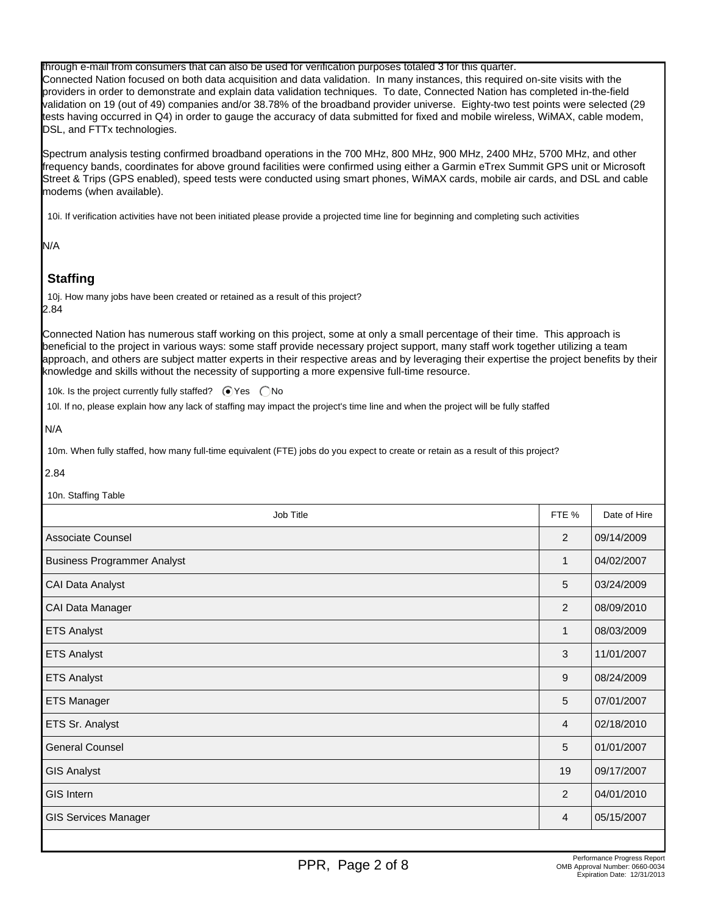through e-mail from consumers that can also be used for verification purposes totaled 3 for this quarter. Connected Nation focused on both data acquisition and data validation. In many instances, this required on-site visits with the providers in order to demonstrate and explain data validation techniques. To date, Connected Nation has completed in-the-field validation on 19 (out of 49) companies and/or 38.78% of the broadband provider universe. Eighty-two test points were selected (29 tests having occurred in Q4) in order to gauge the accuracy of data submitted for fixed and mobile wireless, WiMAX, cable modem, DSL, and FTTx technologies.

Spectrum analysis testing confirmed broadband operations in the 700 MHz, 800 MHz, 900 MHz, 2400 MHz, 5700 MHz, and other frequency bands, coordinates for above ground facilities were confirmed using either a Garmin eTrex Summit GPS unit or Microsoft Street & Trips (GPS enabled), speed tests were conducted using smart phones, WiMAX cards, mobile air cards, and DSL and cable modems (when available).

10i. If verification activities have not been initiated please provide a projected time line for beginning and completing such activities

N/A

# **Staffing**

10j. How many jobs have been created or retained as a result of this project? 2.84

Connected Nation has numerous staff working on this project, some at only a small percentage of their time. This approach is beneficial to the project in various ways: some staff provide necessary project support, many staff work together utilizing a team approach, and others are subject matter experts in their respective areas and by leveraging their expertise the project benefits by their knowledge and skills without the necessity of supporting a more expensive full-time resource.

10k. Is the project currently fully staffed?  $\bigcirc$  Yes  $\bigcirc$  No

10l. If no, please explain how any lack of staffing may impact the project's time line and when the project will be fully staffed

N/A

10m. When fully staffed, how many full-time equivalent (FTE) jobs do you expect to create or retain as a result of this project?

2.84

10n. Staffing Table

| Job Title                          | FTE %        | Date of Hire |
|------------------------------------|--------------|--------------|
| <b>Associate Counsel</b>           | 2            | 09/14/2009   |
| <b>Business Programmer Analyst</b> | $\mathbf{1}$ | 04/02/2007   |
| CAI Data Analyst                   | 5            | 03/24/2009   |
| CAI Data Manager                   | 2            | 08/09/2010   |
| <b>ETS Analyst</b>                 | $\mathbf{1}$ | 08/03/2009   |
| <b>ETS Analyst</b>                 | 3            | 11/01/2007   |
| <b>ETS Analyst</b>                 | 9            | 08/24/2009   |
| <b>ETS Manager</b>                 | 5            | 07/01/2007   |
| ETS Sr. Analyst                    | 4            | 02/18/2010   |
| <b>General Counsel</b>             | 5            | 01/01/2007   |
| <b>GIS Analyst</b>                 | 19           | 09/17/2007   |
| <b>GIS Intern</b>                  | 2            | 04/01/2010   |
| <b>GIS Services Manager</b>        | 4            | 05/15/2007   |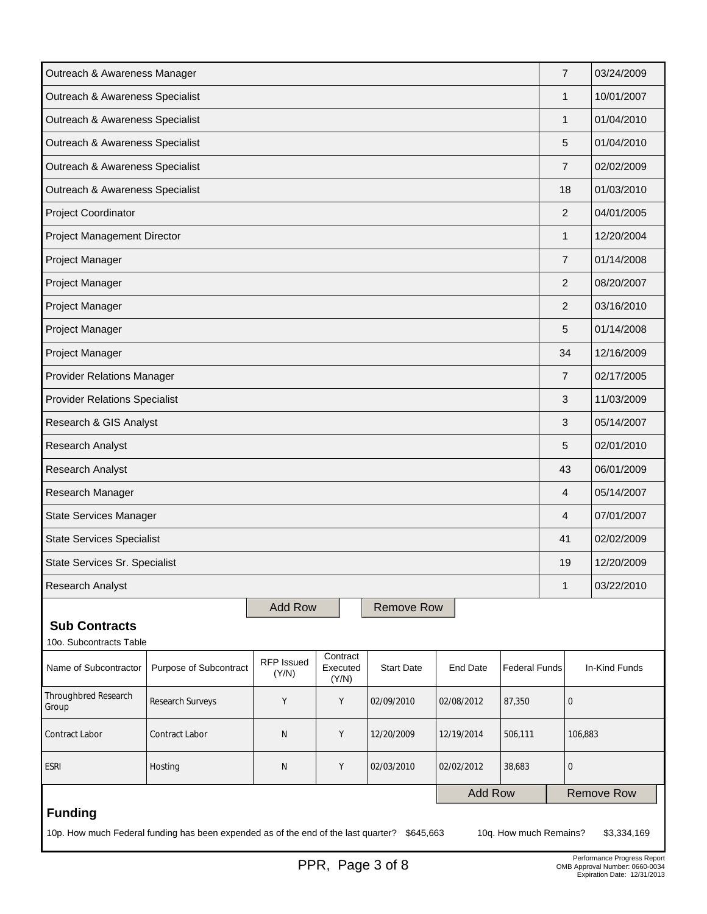| Outreach & Awareness Manager                                                                                                             |                                                                                                                                                                                  |                |  |                   |                |  | $\overline{7}$ |              | 03/24/2009        |
|------------------------------------------------------------------------------------------------------------------------------------------|----------------------------------------------------------------------------------------------------------------------------------------------------------------------------------|----------------|--|-------------------|----------------|--|----------------|--------------|-------------------|
| Outreach & Awareness Specialist                                                                                                          |                                                                                                                                                                                  |                |  |                   |                |  |                | $\mathbf{1}$ | 10/01/2007        |
| Outreach & Awareness Specialist                                                                                                          |                                                                                                                                                                                  |                |  |                   |                |  |                | $\mathbf{1}$ | 01/04/2010        |
| Outreach & Awareness Specialist                                                                                                          |                                                                                                                                                                                  |                |  |                   |                |  |                | 5            | 01/04/2010        |
| Outreach & Awareness Specialist                                                                                                          |                                                                                                                                                                                  |                |  |                   |                |  |                |              | 02/02/2009        |
| Outreach & Awareness Specialist                                                                                                          |                                                                                                                                                                                  |                |  |                   |                |  | 18             |              | 01/03/2010        |
| Project Coordinator                                                                                                                      |                                                                                                                                                                                  |                |  |                   |                |  | 2              |              | 04/01/2005        |
| Project Management Director                                                                                                              |                                                                                                                                                                                  |                |  |                   |                |  | 1              |              | 12/20/2004        |
| Project Manager                                                                                                                          |                                                                                                                                                                                  |                |  |                   |                |  | $\overline{7}$ |              | 01/14/2008        |
| Project Manager                                                                                                                          |                                                                                                                                                                                  |                |  |                   |                |  | $\overline{2}$ |              | 08/20/2007        |
| Project Manager                                                                                                                          |                                                                                                                                                                                  |                |  |                   |                |  | 2              |              | 03/16/2010        |
| Project Manager                                                                                                                          |                                                                                                                                                                                  |                |  |                   |                |  | 5              |              | 01/14/2008        |
| Project Manager                                                                                                                          |                                                                                                                                                                                  |                |  |                   |                |  | 34             |              | 12/16/2009        |
| <b>Provider Relations Manager</b>                                                                                                        |                                                                                                                                                                                  |                |  |                   |                |  | 7              |              | 02/17/2005        |
| <b>Provider Relations Specialist</b>                                                                                                     |                                                                                                                                                                                  |                |  |                   |                |  | 3              |              | 11/03/2009        |
|                                                                                                                                          | Research & GIS Analyst                                                                                                                                                           |                |  |                   |                |  |                |              | 05/14/2007        |
| Research Analyst                                                                                                                         |                                                                                                                                                                                  |                |  |                   |                |  | 5              |              | 02/01/2010        |
| <b>Research Analyst</b>                                                                                                                  |                                                                                                                                                                                  |                |  |                   |                |  |                |              | 06/01/2009        |
| Research Manager                                                                                                                         |                                                                                                                                                                                  |                |  |                   |                |  | 4              |              | 05/14/2007        |
| <b>State Services Manager</b>                                                                                                            |                                                                                                                                                                                  |                |  |                   |                |  | 4              |              | 07/01/2007        |
| <b>State Services Specialist</b>                                                                                                         |                                                                                                                                                                                  |                |  |                   |                |  | 41             |              | 02/02/2009        |
| State Services Sr. Specialist                                                                                                            |                                                                                                                                                                                  |                |  |                   |                |  | 19             |              | 12/20/2009        |
| Research Analyst                                                                                                                         |                                                                                                                                                                                  |                |  |                   |                |  | $\mathbf{1}$   |              | 03/22/2010        |
|                                                                                                                                          |                                                                                                                                                                                  | <b>Add Row</b> |  | <b>Remove Row</b> |                |  |                |              |                   |
| <b>Sub Contracts</b>                                                                                                                     |                                                                                                                                                                                  |                |  |                   |                |  |                |              |                   |
| Name of Subcontractor                                                                                                                    | 10o. Subcontracts Table<br>Contract<br><b>RFP Issued</b><br>Purpose of Subcontract<br><b>Start Date</b><br><b>Federal Funds</b><br>Executed<br><b>End Date</b><br>(Y/N)<br>(Y/N) |                |  |                   |                |  |                |              |                   |
| <b>Throughbred Research</b><br>Group                                                                                                     | Research Surveys<br>Υ<br>Υ<br>02/09/2010<br>02/08/2012<br>87,350                                                                                                                 |                |  |                   |                |  |                | 0            |                   |
| Contract Labor                                                                                                                           | Contract Labor<br>Y<br>N<br>12/20/2009<br>12/19/2014<br>506,111                                                                                                                  |                |  |                   |                |  |                | 106,883      |                   |
| <b>ESRI</b><br>Υ<br>Hosting<br>Ν<br>02/03/2010<br>02/02/2012<br>38,683                                                                   |                                                                                                                                                                                  |                |  |                   |                |  |                |              |                   |
|                                                                                                                                          |                                                                                                                                                                                  |                |  |                   | <b>Add Row</b> |  |                |              | <b>Remove Row</b> |
| <b>Funding</b><br>10p. How much Federal funding has been expended as of the end of the last quarter? \$645,663<br>10q. How much Remains? |                                                                                                                                                                                  |                |  |                   |                |  |                |              |                   |
|                                                                                                                                          |                                                                                                                                                                                  |                |  |                   |                |  |                |              | \$3,334,169       |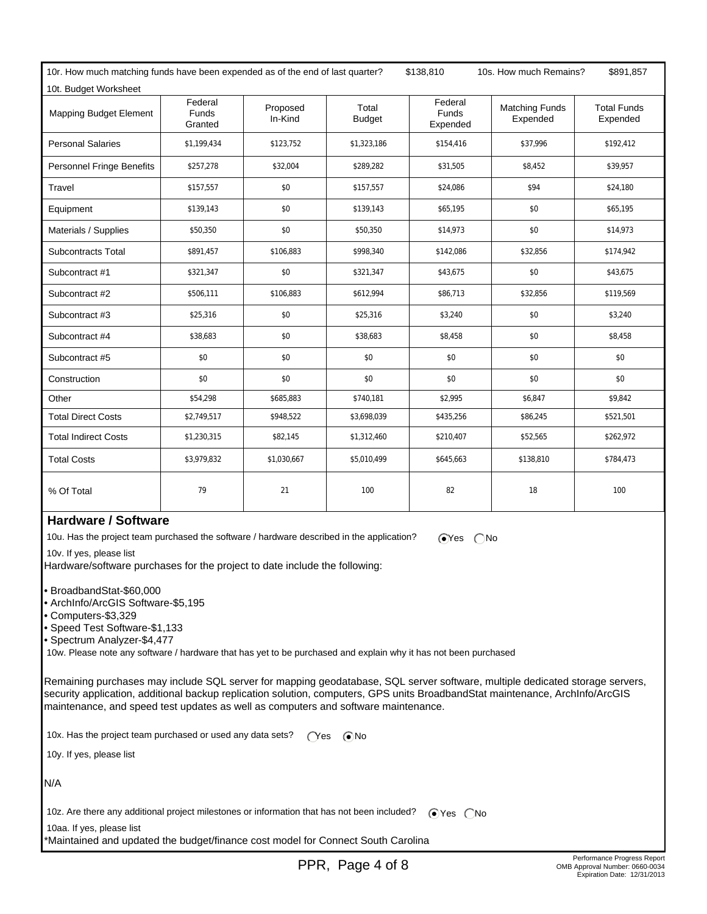10r. How much matching funds have been expended as of the end of last quarter? \$138,810 10s. How much Remains? \$891,857 10t. Budget Worksheet

| TUT. BUDGET WORKSNEET            |                                    |                     |                        |                                     |                                   |                                |
|----------------------------------|------------------------------------|---------------------|------------------------|-------------------------------------|-----------------------------------|--------------------------------|
| <b>Mapping Budget Element</b>    | Federal<br><b>Funds</b><br>Granted | Proposed<br>In-Kind | Total<br><b>Budget</b> | Federal<br><b>Funds</b><br>Expended | <b>Matching Funds</b><br>Expended | <b>Total Funds</b><br>Expended |
| <b>Personal Salaries</b>         | \$1,199,434                        | \$123,752           | \$1,323,186            | \$154,416                           | \$37,996                          | \$192,412                      |
| <b>Personnel Fringe Benefits</b> | \$257,278                          | \$32,004            | \$289,282              | \$31,505                            | \$8,452                           | \$39,957                       |
| Travel                           | \$157,557                          | \$0                 | \$157,557              | \$24,086                            | \$94                              | \$24,180                       |
| Equipment                        | \$139,143                          | \$0                 | \$139,143              | \$65,195                            | \$0                               | \$65,195                       |
| Materials / Supplies             | \$50,350                           | \$0                 | \$50,350               | \$14,973                            | \$0                               | \$14,973                       |
| <b>Subcontracts Total</b>        | \$891,457                          | \$106,883           | \$998,340              | \$142,086                           | \$32,856                          | \$174,942                      |
| Subcontract #1                   | \$321,347                          | \$0                 | \$321,347              | \$43,675                            | \$0                               | \$43,675                       |
| Subcontract #2                   | \$506,111                          | \$106,883           | \$612,994              | \$86,713                            | \$32,856                          | \$119,569                      |
| Subcontract #3                   | \$25,316                           | \$0                 | \$25,316               | \$3,240                             | \$0                               | \$3,240                        |
| Subcontract #4                   | \$38,683                           | \$0                 | \$38,683               | \$8,458                             | \$0                               | \$8,458                        |
| Subcontract #5                   | \$0                                | \$0                 | \$0                    | \$0                                 | \$0                               | \$0                            |
| Construction                     | \$0                                | \$0                 | \$0                    | \$0                                 | \$0                               | \$0                            |
| Other                            | \$54,298                           | \$685,883           | \$740,181              | \$2,995                             | \$6,847                           | \$9,842                        |
| <b>Total Direct Costs</b>        | \$2,749,517                        | \$948,522           | \$3,698,039            | \$435,256                           | \$86,245                          | \$521,501                      |
| <b>Total Indirect Costs</b>      | \$1,230,315                        | \$82,145            | \$1,312,460            | \$210,407                           | \$52,565                          | \$262,972                      |
| <b>Total Costs</b>               | \$3,979,832                        | \$1,030,667         | \$5,010,499            | \$645,663                           | \$138,810                         | \$784,473                      |
| % Of Total                       | 79                                 | 21                  | 100                    | 82                                  | 18                                | 100                            |

### **Hardware / Software**

10u. Has the project team purchased the software / hardware described in the application?  $\sum$  Yes  $\sum$  No

10v. If yes, please list

Hardware/software purchases for the project to date include the following:

• BroadbandStat-\$60,000

• ArchInfo/ArcGIS Software-\$5,195

• Computers-\$3,329

• Speed Test Software-\$1,133

• Spectrum Analyzer-\$4,477

10w. Please note any software / hardware that has yet to be purchased and explain why it has not been purchased

Remaining purchases may include SQL server for mapping geodatabase, SQL server software, multiple dedicated storage servers, security application, additional backup replication solution, computers, GPS units BroadbandStat maintenance, ArchInfo/ArcGIS maintenance, and speed test updates as well as computers and software maintenance.

10x. Has the project team purchased or used any data sets?  $\bigcirc$ Yes  $\bigcirc$ No

10y. If yes, please list

N/A

10z. Are there any additional project milestones or information that has not been included?  $\bigcirc$  Yes  $\bigcirc$  No

 10aa. If yes, please list \*Maintained and updated the budget/finance cost model for Connect South Carolina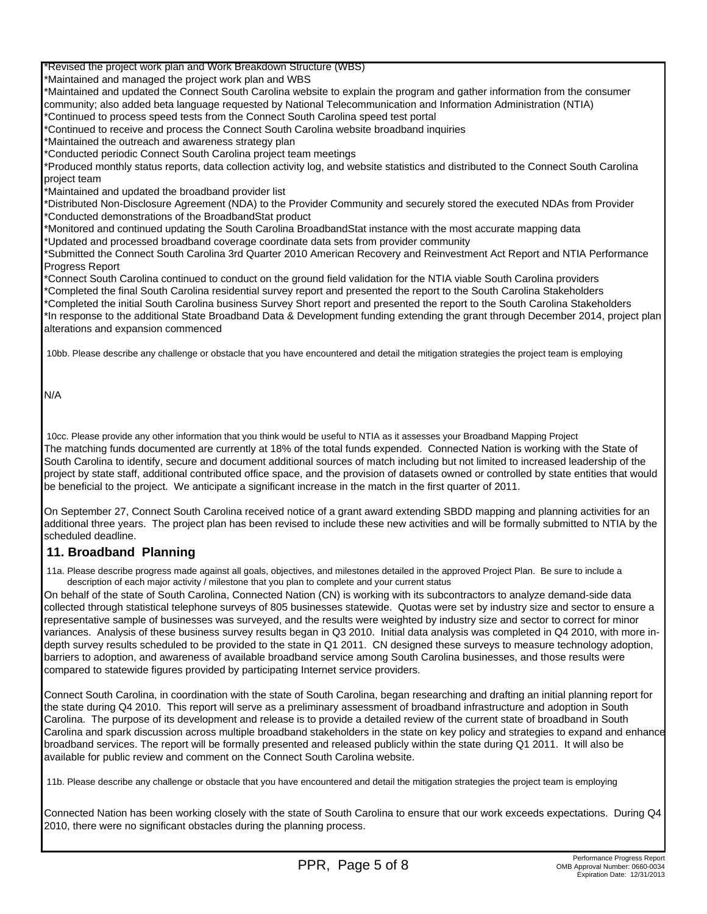\*Revised the project work plan and Work Breakdown Structure (WBS)

\*Maintained and managed the project work plan and WBS

\*Maintained and updated the Connect South Carolina website to explain the program and gather information from the consumer community; also added beta language requested by National Telecommunication and Information Administration (NTIA)

\*Continued to process speed tests from the Connect South Carolina speed test portal

\*Continued to receive and process the Connect South Carolina website broadband inquiries

\*Maintained the outreach and awareness strategy plan

\*Conducted periodic Connect South Carolina project team meetings

\*Produced monthly status reports, data collection activity log, and website statistics and distributed to the Connect South Carolina project team

\*Maintained and updated the broadband provider list

\*Distributed Non-Disclosure Agreement (NDA) to the Provider Community and securely stored the executed NDAs from Provider \*Conducted demonstrations of the BroadbandStat product

\*Monitored and continued updating the South Carolina BroadbandStat instance with the most accurate mapping data \*Updated and processed broadband coverage coordinate data sets from provider community

\*Submitted the Connect South Carolina 3rd Quarter 2010 American Recovery and Reinvestment Act Report and NTIA Performance Progress Report

\*Connect South Carolina continued to conduct on the ground field validation for the NTIA viable South Carolina providers \*Completed the final South Carolina residential survey report and presented the report to the South Carolina Stakeholders \*Completed the initial South Carolina business Survey Short report and presented the report to the South Carolina Stakeholders \*In response to the additional State Broadband Data & Development funding extending the grant through December 2014, project plan alterations and expansion commenced

10bb. Please describe any challenge or obstacle that you have encountered and detail the mitigation strategies the project team is employing

N/A

 10cc. Please provide any other information that you think would be useful to NTIA as it assesses your Broadband Mapping Project The matching funds documented are currently at 18% of the total funds expended. Connected Nation is working with the State of South Carolina to identify, secure and document additional sources of match including but not limited to increased leadership of the project by state staff, additional contributed office space, and the provision of datasets owned or controlled by state entities that would be beneficial to the project. We anticipate a significant increase in the match in the first quarter of 2011.

On September 27, Connect South Carolina received notice of a grant award extending SBDD mapping and planning activities for an additional three years. The project plan has been revised to include these new activities and will be formally submitted to NTIA by the scheduled deadline.

#### **11. Broadband Planning**

 11a. Please describe progress made against all goals, objectives, and milestones detailed in the approved Project Plan. Be sure to include a description of each major activity / milestone that you plan to complete and your current status

On behalf of the state of South Carolina, Connected Nation (CN) is working with its subcontractors to analyze demand-side data collected through statistical telephone surveys of 805 businesses statewide. Quotas were set by industry size and sector to ensure a representative sample of businesses was surveyed, and the results were weighted by industry size and sector to correct for minor variances. Analysis of these business survey results began in Q3 2010. Initial data analysis was completed in Q4 2010, with more indepth survey results scheduled to be provided to the state in Q1 2011. CN designed these surveys to measure technology adoption, barriers to adoption, and awareness of available broadband service among South Carolina businesses, and those results were compared to statewide figures provided by participating Internet service providers.

Connect South Carolina, in coordination with the state of South Carolina, began researching and drafting an initial planning report for the state during Q4 2010. This report will serve as a preliminary assessment of broadband infrastructure and adoption in South Carolina. The purpose of its development and release is to provide a detailed review of the current state of broadband in South Carolina and spark discussion across multiple broadband stakeholders in the state on key policy and strategies to expand and enhance broadband services. The report will be formally presented and released publicly within the state during Q1 2011. It will also be available for public review and comment on the Connect South Carolina website.

11b. Please describe any challenge or obstacle that you have encountered and detail the mitigation strategies the project team is employing

Connected Nation has been working closely with the state of South Carolina to ensure that our work exceeds expectations. During Q4 2010, there were no significant obstacles during the planning process.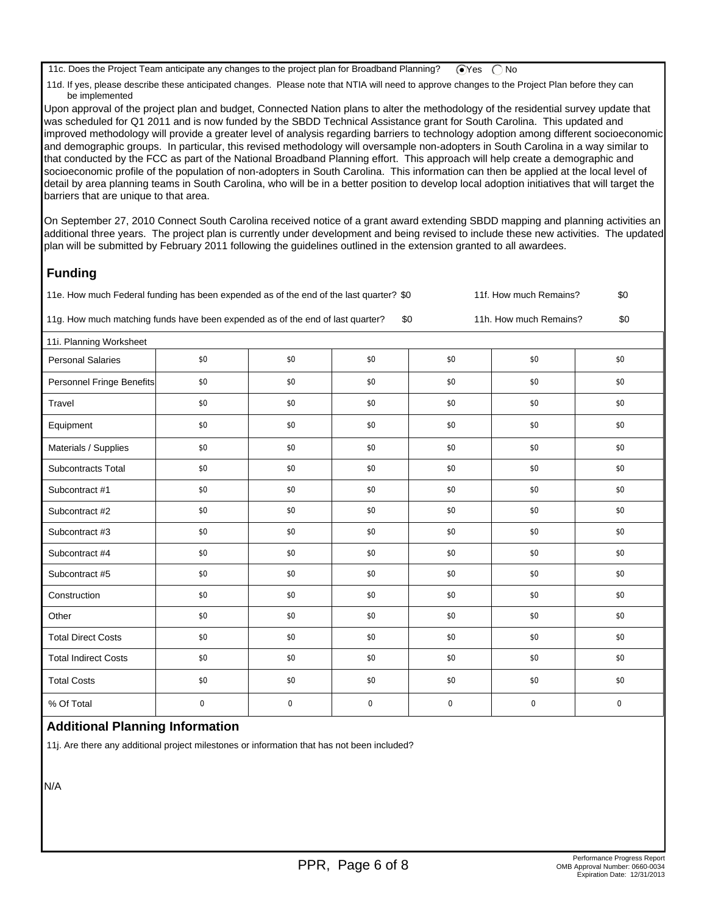11c. Does the Project Team anticipate any changes to the project plan for Broadband Planning?  $\bigcirc$  Yes  $\bigcirc$  No

 11d. If yes, please describe these anticipated changes. Please note that NTIA will need to approve changes to the Project Plan before they can be implemented

Upon approval of the project plan and budget, Connected Nation plans to alter the methodology of the residential survey update that was scheduled for Q1 2011 and is now funded by the SBDD Technical Assistance grant for South Carolina. This updated and improved methodology will provide a greater level of analysis regarding barriers to technology adoption among different socioeconomic and demographic groups. In particular, this revised methodology will oversample non-adopters in South Carolina in a way similar to that conducted by the FCC as part of the National Broadband Planning effort. This approach will help create a demographic and socioeconomic profile of the population of non-adopters in South Carolina. This information can then be applied at the local level of detail by area planning teams in South Carolina, who will be in a better position to develop local adoption initiatives that will target the barriers that are unique to that area.

On September 27, 2010 Connect South Carolina received notice of a grant award extending SBDD mapping and planning activities an additional three years. The project plan is currently under development and being revised to include these new activities. The updated plan will be submitted by February 2011 following the guidelines outlined in the extension granted to all awardees.

## **Funding**

| 11f. How much Remains?<br>\$0<br>11e. How much Federal funding has been expended as of the end of the last quarter? \$0 |                  |             |             |     |     |     |  |  |
|-------------------------------------------------------------------------------------------------------------------------|------------------|-------------|-------------|-----|-----|-----|--|--|
| 11g. How much matching funds have been expended as of the end of last quarter?<br>\$0<br>\$0<br>11h. How much Remains?  |                  |             |             |     |     |     |  |  |
| 11i. Planning Worksheet                                                                                                 |                  |             |             |     |     |     |  |  |
| <b>Personal Salaries</b>                                                                                                | \$0              | \$0         | \$0         | \$0 | \$0 | \$0 |  |  |
| Personnel Fringe Benefits                                                                                               | \$0              | \$0         | \$0         | \$0 | \$0 | \$0 |  |  |
| Travel                                                                                                                  | \$0              | \$0         | \$0         | \$0 | \$0 | \$0 |  |  |
| Equipment                                                                                                               | \$0              | \$0         | \$0         | \$0 | \$0 | \$0 |  |  |
| Materials / Supplies                                                                                                    | \$0              | \$0         | \$0         | \$0 | \$0 | \$0 |  |  |
| <b>Subcontracts Total</b>                                                                                               | \$0              | \$0         | \$0         | \$0 | \$0 | \$0 |  |  |
| Subcontract #1                                                                                                          | \$0              | \$0         | \$0         | \$0 | \$0 | \$0 |  |  |
| Subcontract #2                                                                                                          | \$0              | \$0         | \$0         | \$0 | \$0 | \$0 |  |  |
| Subcontract #3                                                                                                          | \$0              | \$0         | \$0         | \$0 | \$0 | \$0 |  |  |
| Subcontract #4                                                                                                          | \$0              | \$0         | \$0         | \$0 | \$0 | \$0 |  |  |
| Subcontract #5                                                                                                          | \$0              | \$0         | \$0         | \$0 | \$0 | \$0 |  |  |
| Construction                                                                                                            | \$0              | \$0         | \$0         | \$0 | \$0 | \$0 |  |  |
| Other                                                                                                                   | \$0              | \$0         | \$0         | \$0 | \$0 | \$0 |  |  |
| <b>Total Direct Costs</b>                                                                                               | \$0              | \$0         | \$0         | \$0 | \$0 | \$0 |  |  |
| <b>Total Indirect Costs</b>                                                                                             | \$0              | \$0         | \$0         | \$0 | \$0 | \$0 |  |  |
| <b>Total Costs</b>                                                                                                      | \$0              | \$0         | \$0         | \$0 | \$0 | \$0 |  |  |
| % Of Total                                                                                                              | $\boldsymbol{0}$ | $\mathbf 0$ | $\mathbf 0$ | 0   | 0   | 0   |  |  |

#### **Additional Planning Information**

11j. Are there any additional project milestones or information that has not been included?

N/A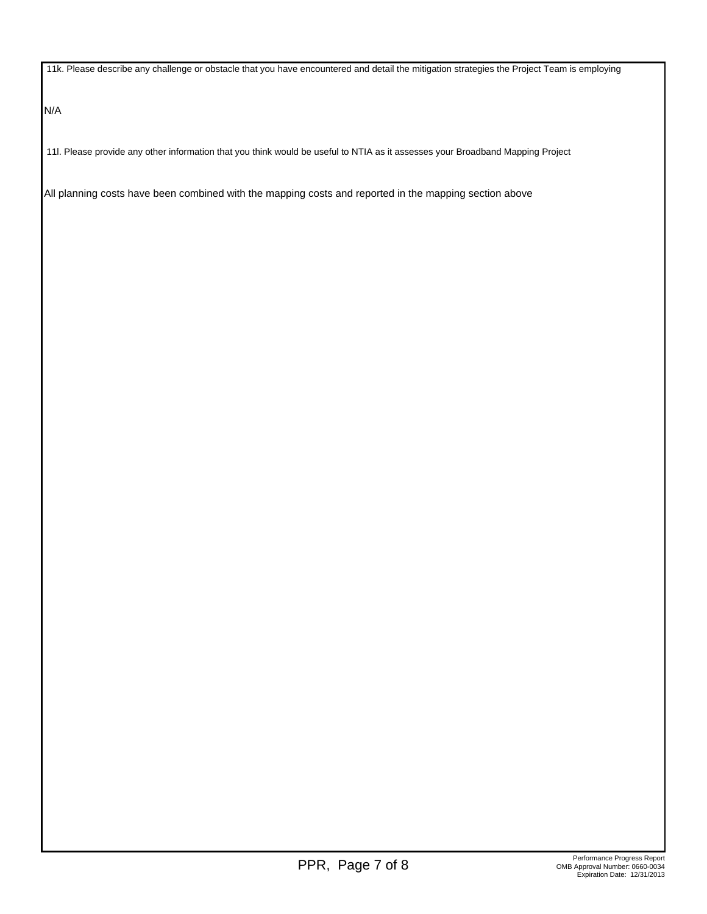11k. Please describe any challenge or obstacle that you have encountered and detail the mitigation strategies the Project Team is employing

N/A

11l. Please provide any other information that you think would be useful to NTIA as it assesses your Broadband Mapping Project

All planning costs have been combined with the mapping costs and reported in the mapping section above